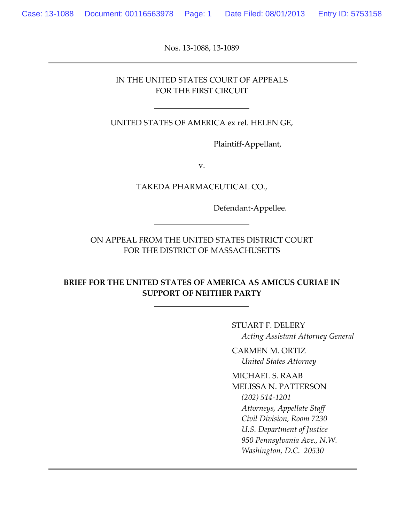Nos. 13-1088, 13-1089

#### IN THE UNITED STATES COURT OF APPEALS FOR THE FIRST CIRCUIT

UNITED STATES OF AMERICA ex rel. HELEN GE,

Plaintiff-Appellant,

v.

TAKEDA PHARMACEUTICAL CO.,

Defendant-Appellee.

ON APPEAL FROM THE UNITED STATES DISTRICT COURT FOR THE DISTRICT OF MASSACHUSETTS

**BRIEF FOR THE UNITED STATES OF AMERICA AS AMICUS CURIAE IN SUPPORT OF NEITHER PARTY**

> STUART F. DELERY *Acting Assistant Attorney General*

CARMEN M. ORTIZ *United States Attorney*

MICHAEL S. RAAB MELISSA N. PATTERSON *(202) 514-1201 Attorneys, Appellate Staff Civil Division, Room 7230 U.S. Department of Justice 950 Pennsylvania Ave., N.W. Washington, D.C. 20530*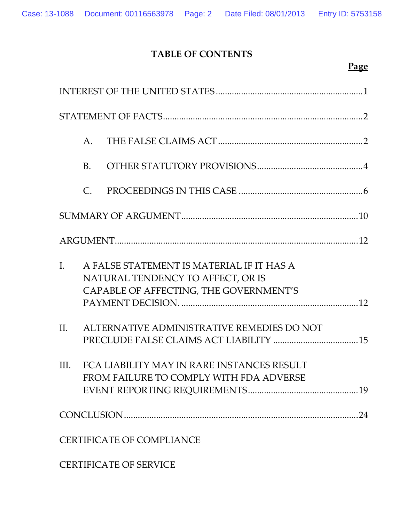## **TABLE OF CONTENTS**

**Page**

|                | A.             |                                                                                                                          |  |
|----------------|----------------|--------------------------------------------------------------------------------------------------------------------------|--|
|                | <b>B.</b>      |                                                                                                                          |  |
|                | $\mathsf{C}$ . |                                                                                                                          |  |
|                |                |                                                                                                                          |  |
|                |                |                                                                                                                          |  |
| $\mathbf{I}$ . |                | A FALSE STATEMENT IS MATERIAL IF IT HAS A<br>NATURAL TENDENCY TO AFFECT, OR IS<br>CAPABLE OF AFFECTING, THE GOVERNMENT'S |  |
| $\Pi$ .        |                | ALTERNATIVE ADMINISTRATIVE REMEDIES DO NOT                                                                               |  |
| III.           |                | FCA LIABILITY MAY IN RARE INSTANCES RESULT<br>FROM FAILURE TO COMPLY WITH FDA ADVERSE                                    |  |
|                |                |                                                                                                                          |  |
|                |                | <b>CERTIFICATE OF COMPLIANCE</b>                                                                                         |  |

CERTIFICATE OF SERVICE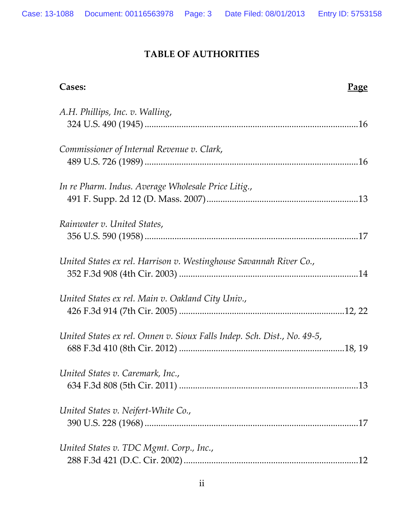## **TABLE OF AUTHORITIES**

| Cases:<br><u>Page</u>                                                   |  |
|-------------------------------------------------------------------------|--|
| A.H. Phillips, Inc. v. Walling,                                         |  |
| Commissioner of Internal Revenue v. Clark,                              |  |
| In re Pharm. Indus. Average Wholesale Price Litig.,                     |  |
| Rainwater v. United States,                                             |  |
| United States ex rel. Harrison v. Westinghouse Savannah River Co.,      |  |
| United States ex rel. Main v. Oakland City Univ.,                       |  |
| United States ex rel. Onnen v. Sioux Falls Indep. Sch. Dist., No. 49-5, |  |
| United States v. Caremark, Inc.,                                        |  |
| United States v. Neifert-White Co.,                                     |  |
| United States v. TDC Mgmt. Corp., Inc.,                                 |  |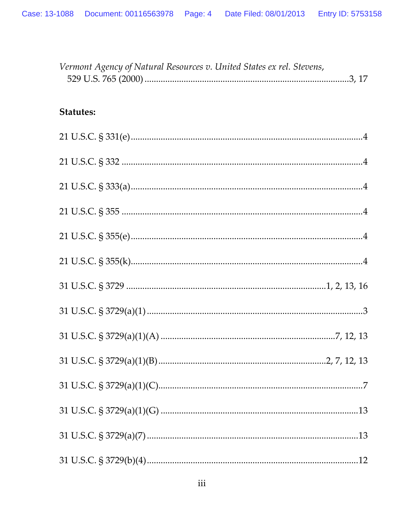| Vermont Agency of Natural Resources v. United States ex rel. Stevens, |  |
|-----------------------------------------------------------------------|--|
| <b>Statutes:</b>                                                      |  |
|                                                                       |  |
|                                                                       |  |
|                                                                       |  |
|                                                                       |  |
|                                                                       |  |
|                                                                       |  |
|                                                                       |  |
|                                                                       |  |
|                                                                       |  |
|                                                                       |  |
|                                                                       |  |
|                                                                       |  |
|                                                                       |  |
|                                                                       |  |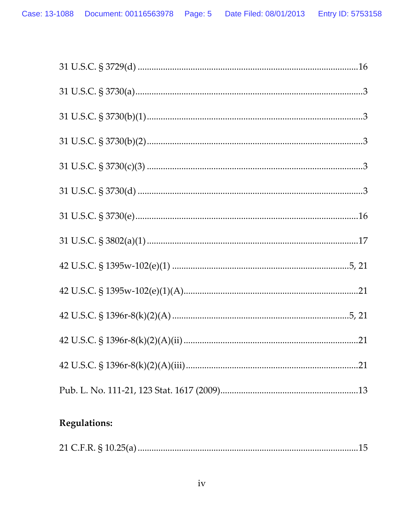# **Regulations:**

|--|--|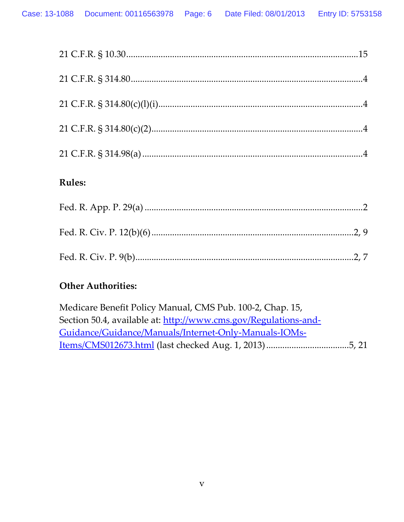## **Rules:**

## **Other Authorities:**

| Medicare Benefit Policy Manual, CMS Pub. 100-2, Chap. 15,       |  |
|-----------------------------------------------------------------|--|
| Section 50.4, available at: http://www.cms.gov/Regulations-and- |  |
| Guidance/Guidance/Manuals/Internet-Only-Manuals-IOMs-           |  |
|                                                                 |  |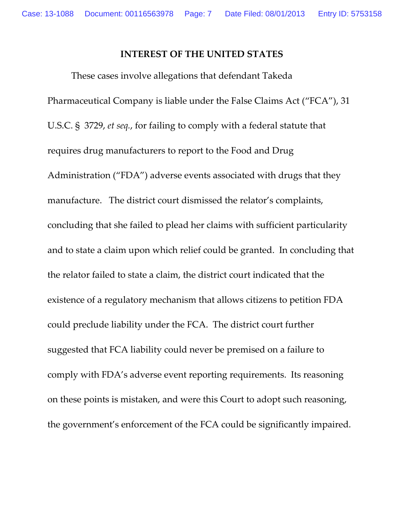### **INTEREST OF THE UNITED STATES**

These cases involve allegations that defendant Takeda Pharmaceutical Company is liable under the False Claims Act ("FCA"), 31 U.S.C. § 3729, *et seq.*, for failing to comply with a federal statute that requires drug manufacturers to report to the Food and Drug Administration ("FDA") adverse events associated with drugs that they manufacture. The district court dismissed the relator's complaints, concluding that she failed to plead her claims with sufficient particularity and to state a claim upon which relief could be granted. In concluding that the relator failed to state a claim, the district court indicated that the existence of a regulatory mechanism that allows citizens to petition FDA could preclude liability under the FCA. The district court further suggested that FCA liability could never be premised on a failure to comply with FDA's adverse event reporting requirements. Its reasoning on these points is mistaken, and were this Court to adopt such reasoning, the government's enforcement of the FCA could be significantly impaired.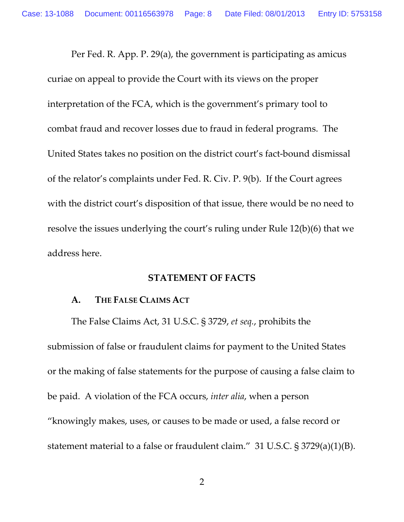Per Fed. R. App. P. 29(a), the government is participating as amicus curiae on appeal to provide the Court with its views on the proper interpretation of the FCA, which is the government's primary tool to combat fraud and recover losses due to fraud in federal programs. The United States takes no position on the district court's fact-bound dismissal of the relator's complaints under Fed. R. Civ. P. 9(b). If the Court agrees with the district court's disposition of that issue, there would be no need to resolve the issues underlying the court's ruling under Rule 12(b)(6) that we address here.

#### **STATEMENT OF FACTS**

#### **A. THE FALSE CLAIMS ACT**

The False Claims Act, 31 U.S.C. § 3729, *et seq.*, prohibits the submission of false or fraudulent claims for payment to the United States or the making of false statements for the purpose of causing a false claim to be paid. A violation of the FCA occurs, *inter alia*, when a person "knowingly makes, uses, or causes to be made or used, a false record or statement material to a false or fraudulent claim." 31 U.S.C. § 3729(a)(1)(B).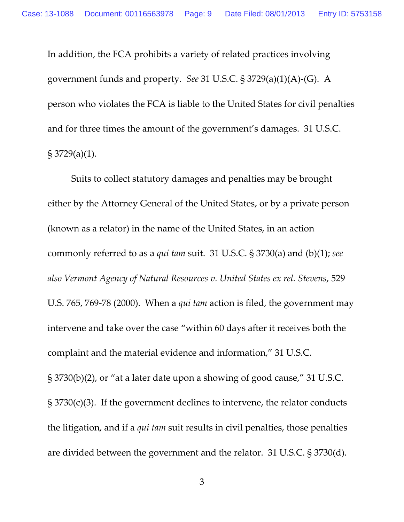In addition, the FCA prohibits a variety of related practices involving government funds and property. *See* 31 U.S.C. § 3729(a)(1)(A)-(G). A person who violates the FCA is liable to the United States for civil penalties and for three times the amount of the government's damages. 31 U.S.C. § 3729(a)(1).

Suits to collect statutory damages and penalties may be brought either by the Attorney General of the United States, or by a private person (known as a relator) in the name of the United States, in an action commonly referred to as a *qui tam* suit. 31 U.S.C. § 3730(a) and (b)(1); *see also Vermont Agency of Natural Resources v. United States ex rel. Stevens*, 529 U.S. 765, 769-78 (2000). When a *qui tam* action is filed, the government may intervene and take over the case "within 60 days after it receives both the complaint and the material evidence and information," 31 U.S.C. § 3730(b)(2), or "at a later date upon a showing of good cause," 31 U.S.C. § 3730(c)(3). If the government declines to intervene, the relator conducts the litigation, and if a *qui tam* suit results in civil penalties, those penalties are divided between the government and the relator. 31 U.S.C. § 3730(d).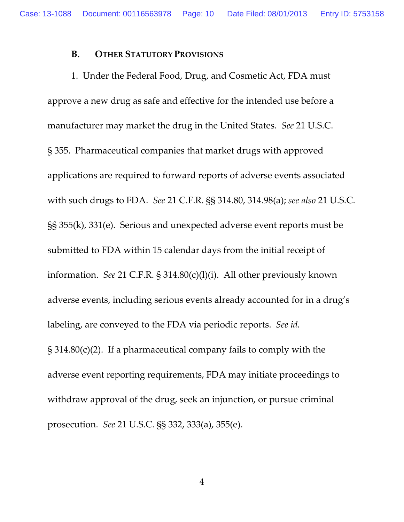#### **B. OTHER STATUTORY PROVISIONS**

1. Under the Federal Food, Drug, and Cosmetic Act, FDA must approve a new drug as safe and effective for the intended use before a manufacturer may market the drug in the United States. *See* 21 U.S.C. § 355. Pharmaceutical companies that market drugs with approved applications are required to forward reports of adverse events associated with such drugs to FDA. *See* 21 C.F.R. §§ 314.80, 314.98(a); *see also* 21 U.S.C. §§ 355(k), 331(e). Serious and unexpected adverse event reports must be submitted to FDA within 15 calendar days from the initial receipt of information. *See* 21 C.F.R. § 314.80(c)(l)(i). All other previously known adverse events, including serious events already accounted for in a drug's labeling, are conveyed to the FDA via periodic reports. *See id.* § 314.80(c)(2). If a pharmaceutical company fails to comply with the adverse event reporting requirements, FDA may initiate proceedings to withdraw approval of the drug, seek an injunction, or pursue criminal prosecution. *See* 21 U.S.C. §§ 332, 333(a), 355(e).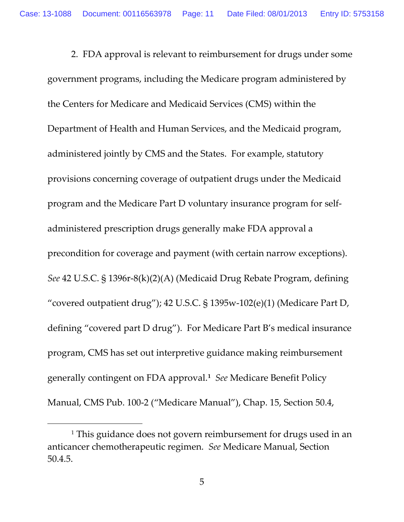2. FDA approval is relevant to reimbursement for drugs under some government programs, including the Medicare program administered by the Centers for Medicare and Medicaid Services (CMS) within the Department of Health and Human Services, and the Medicaid program, administered jointly by CMS and the States. For example, statutory provisions concerning coverage of outpatient drugs under the Medicaid program and the Medicare Part D voluntary insurance program for selfadministered prescription drugs generally make FDA approval a precondition for coverage and payment (with certain narrow exceptions). *See* 42 U.S.C. § 1396r-8(k)(2)(A) (Medicaid Drug Rebate Program, defining "covered outpatient drug"); 42 U.S.C. § 1395w-102(e)(1) (Medicare Part D, defining "covered part D drug"). For Medicare Part B's medical insurance program, CMS has set out interpretive guidance making reimbursement generally contingent on FDA approval. **[1](#page-10-0)** *See* Medicare Benefit Policy Manual, CMS Pub. 100-2 ("Medicare Manual"), Chap. 15, Section 50.4,

 $\overline{a}$ 

<span id="page-10-0"></span><sup>&</sup>lt;sup>1</sup> This guidance does not govern reimbursement for drugs used in an anticancer chemotherapeutic regimen. *See* Medicare Manual, Section 50.4.5.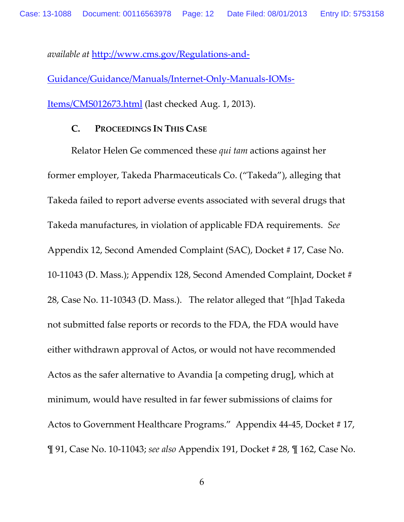*available at* [http://www.cms.gov/Regulations-and-](http://www.cms.gov/Regulations-and-Guidance/Guidance/Manuals/Internet-Only-Manuals-IOMs-Items/CMS012673.html)[Guidance/Guidance/Manuals/Internet-Only-Manuals-IOMs-](http://www.cms.gov/Regulations-and-Guidance/Guidance/Manuals/Internet-Only-Manuals-IOMs-Items/CMS012673.html)[Items/CMS012673.html](http://www.cms.gov/Regulations-and-Guidance/Guidance/Manuals/Internet-Only-Manuals-IOMs-Items/CMS012673.html) (last checked Aug. 1, 2013).

#### **C. PROCEEDINGS IN THIS CASE**

Relator Helen Ge commenced these *qui tam* actions against her former employer, Takeda Pharmaceuticals Co. ("Takeda"), alleging that Takeda failed to report adverse events associated with several drugs that Takeda manufactures, in violation of applicable FDA requirements. *See*  Appendix 12, Second Amended Complaint (SAC), Docket # 17, Case No. 10-11043 (D. Mass.); Appendix 128, Second Amended Complaint, Docket # 28, Case No. 11-10343 (D. Mass.). The relator alleged that "[h]ad Takeda not submitted false reports or records to the FDA, the FDA would have either withdrawn approval of Actos, or would not have recommended Actos as the safer alternative to Avandia [a competing drug], which at minimum, would have resulted in far fewer submissions of claims for Actos to Government Healthcare Programs." Appendix 44-45, Docket #17, ¶ 91, Case No. 10-11043; *see also* Appendix 191, Docket # 28, ¶ 162, Case No.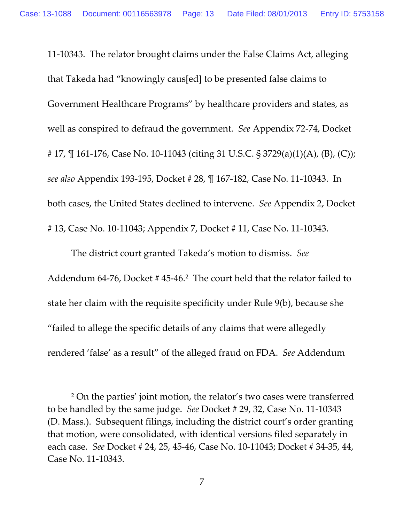11-10343. The relator brought claims under the False Claims Act, alleging that Takeda had "knowingly caus[ed] to be presented false claims to Government Healthcare Programs" by healthcare providers and states, as well as conspired to defraud the government. *See* Appendix 72-74, Docket # 17, ¶ 161-176, Case No. 10-11043 (citing 31 U.S.C. § 3729(a)(1)(A), (B), (C)); *see also* Appendix 193-195, Docket # 28, ¶ 167-182, Case No. 11-10343. In both cases, the United States declined to intervene. *See* Appendix 2, Docket # 13, Case No. 10-11043; Appendix 7, Docket # 11, Case No. 11-10343.

The district court granted Takeda's motion to dismiss. *See* Addendum 64-76, Docket # 45-46[.2](#page-12-0) The court held that the relator failed to state her claim with the requisite specificity under Rule 9(b), because she "failed to allege the specific details of any claims that were allegedly rendered 'false' as a result" of the alleged fraud on FDA. *See* Addendum

 $\overline{a}$ 

<span id="page-12-0"></span><sup>2</sup> On the parties' joint motion, the relator's two cases were transferred to be handled by the same judge. *See* Docket # 29, 32, Case No. 11-10343 (D. Mass.). Subsequent filings, including the district court's order granting that motion, were consolidated, with identical versions filed separately in each case. *See* Docket # 24, 25, 45-46, Case No. 10-11043; Docket # 34-35, 44, Case No. 11-10343.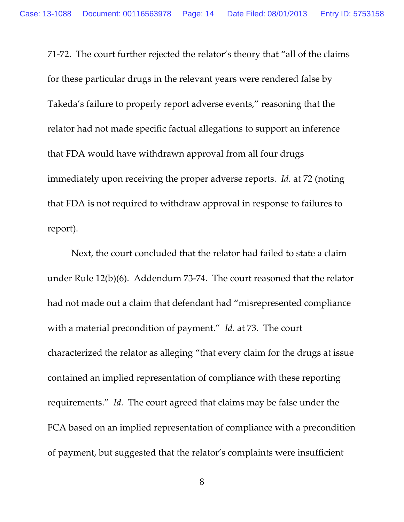71-72. The court further rejected the relator's theory that "all of the claims for these particular drugs in the relevant years were rendered false by Takeda's failure to properly report adverse events," reasoning that the relator had not made specific factual allegations to support an inference that FDA would have withdrawn approval from all four drugs immediately upon receiving the proper adverse reports. *Id.* at 72 (noting that FDA is not required to withdraw approval in response to failures to report).

Next, the court concluded that the relator had failed to state a claim under Rule 12(b)(6). Addendum 73-74. The court reasoned that the relator had not made out a claim that defendant had "misrepresented compliance with a material precondition of payment." *Id.* at 73. The court characterized the relator as alleging "that every claim for the drugs at issue contained an implied representation of compliance with these reporting requirements." *Id.* The court agreed that claims may be false under the FCA based on an implied representation of compliance with a precondition of payment, but suggested that the relator's complaints were insufficient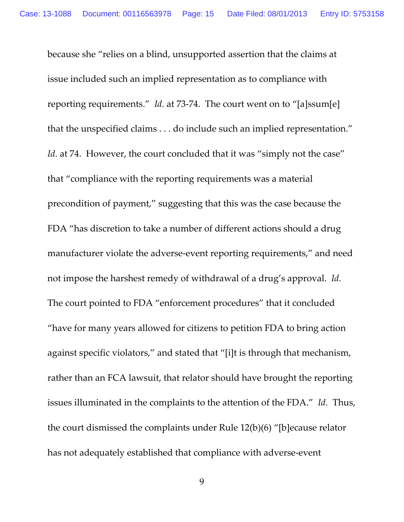because she "relies on a blind, unsupported assertion that the claims at issue included such an implied representation as to compliance with reporting requirements." *Id.* at 73-74. The court went on to "[a]ssum[e] that the unspecified claims . . . do include such an implied representation." Id. at 74. However, the court concluded that it was "simply not the case" that "compliance with the reporting requirements was a material precondition of payment," suggesting that this was the case because the FDA "has discretion to take a number of different actions should a drug manufacturer violate the adverse-event reporting requirements," and need not impose the harshest remedy of withdrawal of a drug's approval. *Id.* The court pointed to FDA "enforcement procedures" that it concluded "have for many years allowed for citizens to petition FDA to bring action against specific violators," and stated that "[i]t is through that mechanism, rather than an FCA lawsuit, that relator should have brought the reporting issues illuminated in the complaints to the attention of the FDA." *Id.* Thus, the court dismissed the complaints under Rule 12(b)(6) "[b]ecause relator has not adequately established that compliance with adverse-event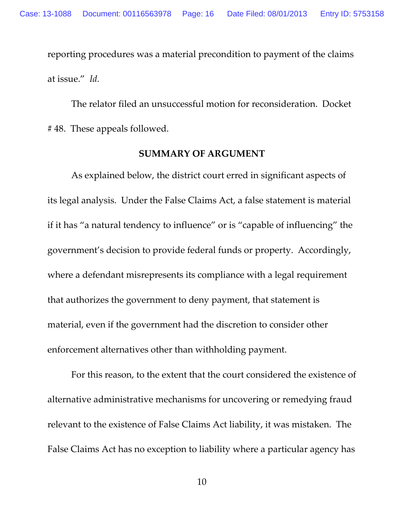reporting procedures was a material precondition to payment of the claims at issue." *Id.*

The relator filed an unsuccessful motion for reconsideration. Docket # 48. These appeals followed.

#### **SUMMARY OF ARGUMENT**

As explained below, the district court erred in significant aspects of its legal analysis. Under the False Claims Act, a false statement is material if it has "a natural tendency to influence" or is "capable of influencing" the government's decision to provide federal funds or property. Accordingly, where a defendant misrepresents its compliance with a legal requirement that authorizes the government to deny payment, that statement is material, even if the government had the discretion to consider other enforcement alternatives other than withholding payment.

For this reason, to the extent that the court considered the existence of alternative administrative mechanisms for uncovering or remedying fraud relevant to the existence of False Claims Act liability, it was mistaken. The False Claims Act has no exception to liability where a particular agency has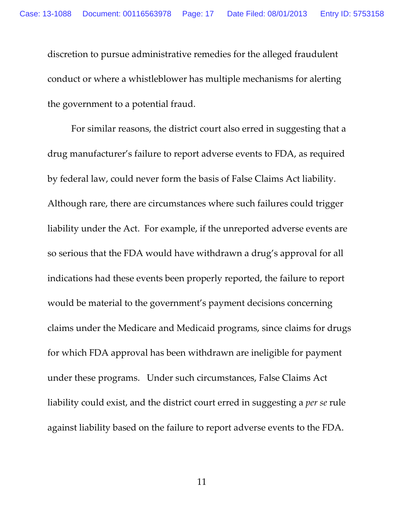discretion to pursue administrative remedies for the alleged fraudulent conduct or where a whistleblower has multiple mechanisms for alerting the government to a potential fraud.

For similar reasons, the district court also erred in suggesting that a drug manufacturer's failure to report adverse events to FDA, as required by federal law, could never form the basis of False Claims Act liability. Although rare, there are circumstances where such failures could trigger liability under the Act. For example, if the unreported adverse events are so serious that the FDA would have withdrawn a drug's approval for all indications had these events been properly reported, the failure to report would be material to the government's payment decisions concerning claims under the Medicare and Medicaid programs, since claims for drugs for which FDA approval has been withdrawn are ineligible for payment under these programs. Under such circumstances, False Claims Act liability could exist, and the district court erred in suggesting a *per se* rule against liability based on the failure to report adverse events to the FDA.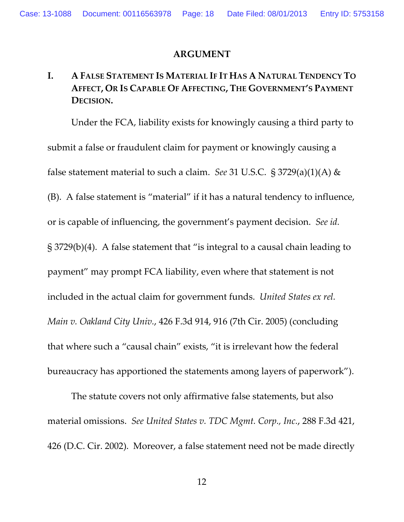#### **ARGUMENT**

## **I. A FALSE STATEMENT IS MATERIAL IF IT HAS A NATURAL TENDENCY TO AFFECT, OR IS CAPABLE OF AFFECTING, THE GOVERNMENT'S PAYMENT DECISION.**

Under the FCA, liability exists for knowingly causing a third party to submit a false or fraudulent claim for payment or knowingly causing a false statement material to such a claim. *See* 31 U.S.C. § 3729(a)(1)(A) & (B). A false statement is "material" if it has a natural tendency to influence, or is capable of influencing, the government's payment decision. *See id.* § 3729(b)(4). A false statement that "is integral to a causal chain leading to payment" may prompt FCA liability, even where that statement is not included in the actual claim for government funds. *United States ex rel. Main v. Oakland City Univ.*, 426 F.3d 914, 916 (7th Cir. 2005) (concluding that where such a "causal chain" exists, "it is irrelevant how the federal bureaucracy has apportioned the statements among layers of paperwork").

The statute covers not only affirmative false statements, but also material omissions. *See United States v. TDC Mgmt. Corp., Inc.*, 288 F.3d 421, 426 (D.C. Cir. 2002). Moreover, a false statement need not be made directly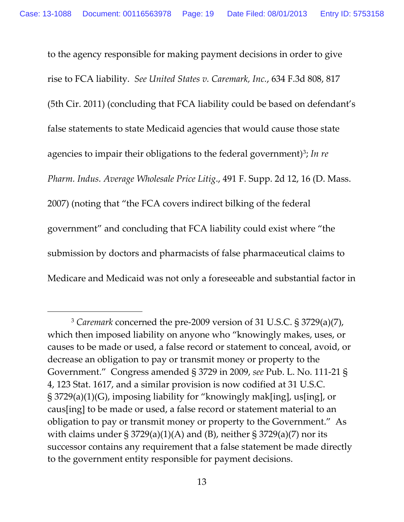to the agency responsible for making payment decisions in order to give rise to FCA liability. *See United States v. Caremark, Inc.*, 634 F.3d 808, 817 (5th Cir. 2011) (concluding that FCA liability could be based on defendant's false statements to state Medicaid agencies that would cause those state agencies to impair their obligations to the federal government)<sup>3</sup>; In re *Pharm. Indus. Average Wholesale Price Litig*., 491 F. Supp. 2d 12, 16 (D. Mass. 2007) (noting that "the FCA covers indirect bilking of the federal government" and concluding that FCA liability could exist where "the submission by doctors and pharmacists of false pharmaceutical claims to Medicare and Medicaid was not only a foreseeable and substantial factor in

 $\overline{a}$ 

<span id="page-18-0"></span><sup>3</sup> *Caremark* concerned the pre-2009 version of 31 U.S.C. § 3729(a)(7), which then imposed liability on anyone who "knowingly makes, uses, or causes to be made or used, a false record or statement to conceal, avoid, or decrease an obligation to pay or transmit money or property to the Government." Congress amended § 3729 in 2009, *see* Pub. L. No. 111-21 § 4, 123 Stat. 1617, and a similar provision is now codified at 31 U.S.C. § 3729(a)(1)(G), imposing liability for "knowingly mak[ing], us[ing], or caus[ing] to be made or used, a false record or statement material to an obligation to pay or transmit money or property to the Government." As with claims under  $\S 3729(a)(1)(A)$  and (B), neither  $\S 3729(a)(7)$  nor its successor contains any requirement that a false statement be made directly to the government entity responsible for payment decisions.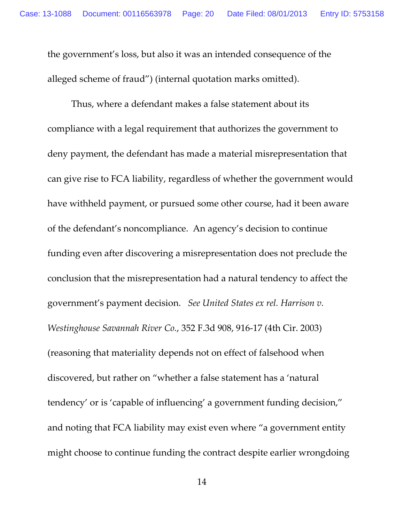the government's loss, but also it was an intended consequence of the alleged scheme of fraud") (internal quotation marks omitted).

Thus, where a defendant makes a false statement about its compliance with a legal requirement that authorizes the government to deny payment, the defendant has made a material misrepresentation that can give rise to FCA liability, regardless of whether the government would have withheld payment, or pursued some other course, had it been aware of the defendant's noncompliance. An agency's decision to continue funding even after discovering a misrepresentation does not preclude the conclusion that the misrepresentation had a natural tendency to affect the government's payment decision. *See United States ex rel. Harrison v. Westinghouse Savannah River Co.*, 352 F.3d 908, 916-17 (4th Cir. 2003) (reasoning that materiality depends not on effect of falsehood when discovered, but rather on "whether a false statement has a 'natural tendency' or is 'capable of influencing' a government funding decision," and noting that FCA liability may exist even where "a government entity might choose to continue funding the contract despite earlier wrongdoing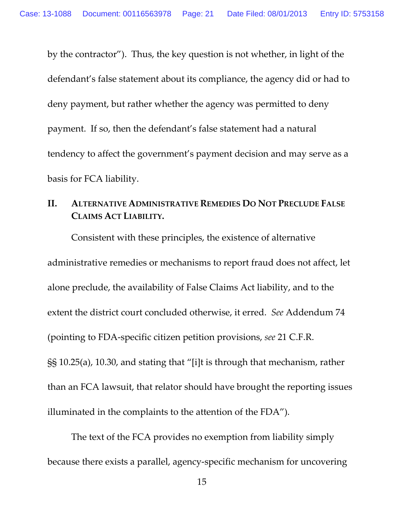by the contractor"). Thus, the key question is not whether, in light of the defendant's false statement about its compliance, the agency did or had to deny payment, but rather whether the agency was permitted to deny payment. If so, then the defendant's false statement had a natural tendency to affect the government's payment decision and may serve as a basis for FCA liability.

## **II. ALTERNATIVE ADMINISTRATIVE REMEDIES DO NOT PRECLUDE FALSE CLAIMS ACT LIABILITY.**

Consistent with these principles, the existence of alternative administrative remedies or mechanisms to report fraud does not affect, let alone preclude, the availability of False Claims Act liability, and to the extent the district court concluded otherwise, it erred. *See* Addendum 74 (pointing to FDA-specific citizen petition provisions, *see* 21 C.F.R. §§ 10.25(a), 10.30, and stating that "[i]t is through that mechanism, rather than an FCA lawsuit, that relator should have brought the reporting issues illuminated in the complaints to the attention of the FDA").

The text of the FCA provides no exemption from liability simply because there exists a parallel, agency-specific mechanism for uncovering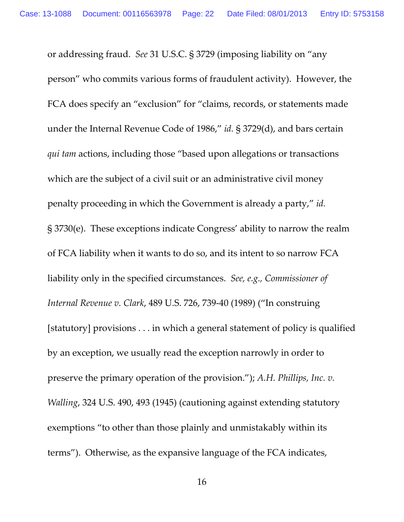or addressing fraud. *See* 31 U.S.C. § 3729 (imposing liability on "any person" who commits various forms of fraudulent activity). However, the FCA does specify an "exclusion" for "claims, records, or statements made under the Internal Revenue Code of 1986," *id.* § 3729(d), and bars certain *qui tam* actions, including those "based upon allegations or transactions which are the subject of a civil suit or an administrative civil money penalty proceeding in which the Government is already a party," *id.* § 3730(e). These exceptions indicate Congress' ability to narrow the realm of FCA liability when it wants to do so, and its intent to so narrow FCA liability only in the specified circumstances. *See, e.g., Commissioner of Internal Revenue v. Clark*, 489 U.S. 726, 739-40 (1989) ("In construing [statutory] provisions . . . in which a general statement of policy is qualified by an exception, we usually read the exception narrowly in order to preserve the primary operation of the provision."); *A.H. Phillips, Inc. v. Walling*, 324 U.S. 490, 493 (1945) (cautioning against extending statutory exemptions "to other than those plainly and unmistakably within its terms"). Otherwise, as the expansive language of the FCA indicates,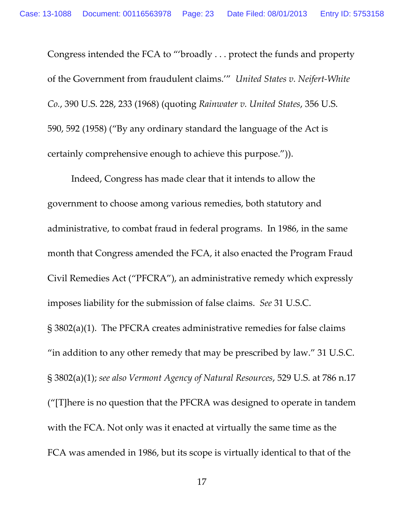Congress intended the FCA to "'broadly . . . protect the funds and property of the Government from fraudulent claims.'" *United States v. Neifert-White Co.*, 390 U.S. 228, 233 (1968) (quoting *Rainwater v. United States*, 356 U.S. 590, 592 (1958) ("By any ordinary standard the language of the Act is certainly comprehensive enough to achieve this purpose.")).

Indeed, Congress has made clear that it intends to allow the government to choose among various remedies, both statutory and administrative, to combat fraud in federal programs. In 1986, in the same month that Congress amended the FCA, it also enacted the Program Fraud Civil Remedies Act ("PFCRA"), an administrative remedy which expressly imposes liability for the submission of false claims. *See* 31 U.S.C. § 3802(a)(1). The PFCRA creates administrative remedies for false claims "in addition to any other remedy that may be prescribed by law." 31 U.S.C. § 3802(a)(1); *see also Vermont Agency of Natural Resources*, 529 U.S. at 786 n.17 ("[T]here is no question that the PFCRA was designed to operate in tandem with the FCA. Not only was it enacted at virtually the same time as the FCA was amended in 1986, but its scope is virtually identical to that of the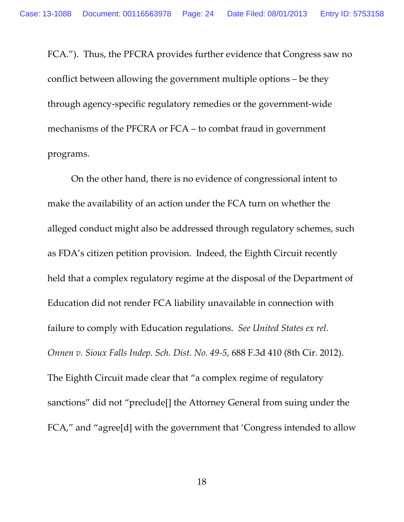FCA."). Thus, the PFCRA provides further evidence that Congress saw no conflict between allowing the government multiple options – be they through agency-specific regulatory remedies or the government-wide mechanisms of the PFCRA or FCA – to combat fraud in government programs.

On the other hand, there is no evidence of congressional intent to make the availability of an action under the FCA turn on whether the alleged conduct might also be addressed through regulatory schemes, such as FDA's citizen petition provision. Indeed, the Eighth Circuit recently held that a complex regulatory regime at the disposal of the Department of Education did not render FCA liability unavailable in connection with failure to comply with Education regulations. *See United States ex rel. Onnen v. Sioux Falls Indep. Sch. Dist. No. 49-5*, 688 F.3d 410 (8th Cir. 2012). The Eighth Circuit made clear that "a complex regime of regulatory sanctions" did not "preclude[] the Attorney General from suing under the FCA," and "agree[d] with the government that 'Congress intended to allow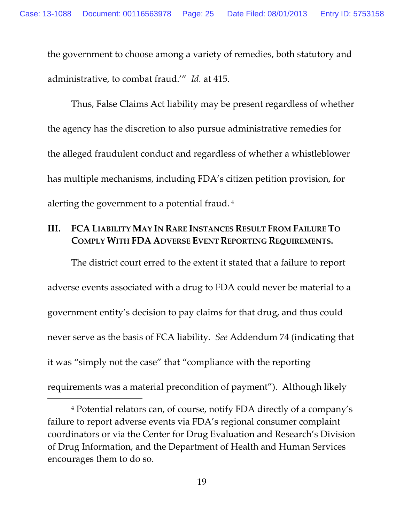the government to choose among a variety of remedies, both statutory and administrative, to combat fraud.'" *Id.* at 415.

Thus, False Claims Act liability may be present regardless of whether the agency has the discretion to also pursue administrative remedies for the alleged fraudulent conduct and regardless of whether a whistleblower has multiple mechanisms, including FDA's citizen petition provision, for alerting the government to a potential fraud. [4](#page-24-0)

## **III. FCA LIABILITY MAY IN RARE INSTANCES RESULT FROM FAILURE TO COMPLY WITH FDA ADVERSE EVENT REPORTING REQUIREMENTS.**

The district court erred to the extent it stated that a failure to report adverse events associated with a drug to FDA could never be material to a government entity's decision to pay claims for that drug, and thus could never serve as the basis of FCA liability. *See* Addendum 74 (indicating that it was "simply not the case" that "compliance with the reporting requirements was a material precondition of payment"). Although likely

 $\overline{a}$ 

<span id="page-24-0"></span><sup>4</sup> Potential relators can, of course, notify FDA directly of a company's failure to report adverse events via FDA's regional consumer complaint coordinators or via the Center for Drug Evaluation and Research's Division of Drug Information, and the Department of Health and Human Services encourages them to do so.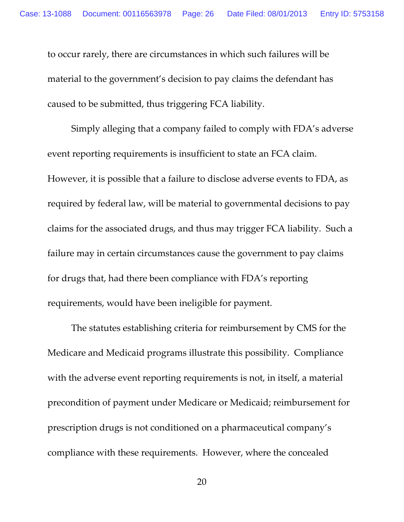to occur rarely, there are circumstances in which such failures will be material to the government's decision to pay claims the defendant has caused to be submitted, thus triggering FCA liability.

Simply alleging that a company failed to comply with FDA's adverse event reporting requirements is insufficient to state an FCA claim. However, it is possible that a failure to disclose adverse events to FDA, as required by federal law, will be material to governmental decisions to pay claims for the associated drugs, and thus may trigger FCA liability. Such a failure may in certain circumstances cause the government to pay claims for drugs that, had there been compliance with FDA's reporting requirements, would have been ineligible for payment.

The statutes establishing criteria for reimbursement by CMS for the Medicare and Medicaid programs illustrate this possibility. Compliance with the adverse event reporting requirements is not, in itself, a material precondition of payment under Medicare or Medicaid; reimbursement for prescription drugs is not conditioned on a pharmaceutical company's compliance with these requirements. However, where the concealed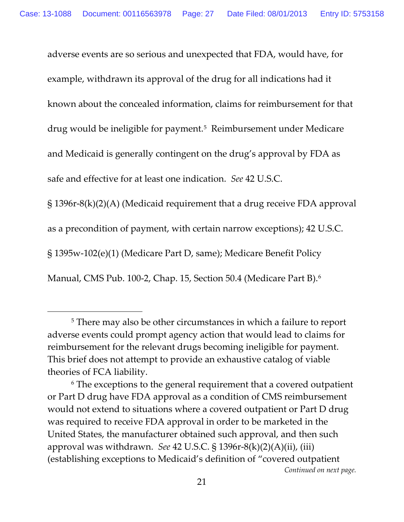adverse events are so serious and unexpected that FDA, would have, for example, withdrawn its approval of the drug for all indications had it known about the concealed information, claims for reimbursement for that drug would be ineligible for payment.[5](#page-26-0) Reimbursement under Medicare and Medicaid is generally contingent on the drug's approval by FDA as safe and effective for at least one indication. *See* 42 U.S.C.

§ 1396r-8(k)(2)(A) (Medicaid requirement that a drug receive FDA approval as a precondition of payment, with certain narrow exceptions); 42 U.S.C. § 1395w-102(e)(1) (Medicare Part D, same); Medicare Benefit Policy

Manual, CMS Pub. 100-2, Chap. 15, Section 50.4 (Medicare Part B). [6](#page-26-1) 

 $\overline{a}$ 

<span id="page-26-0"></span><sup>&</sup>lt;sup>5</sup> There may also be other circumstances in which a failure to report adverse events could prompt agency action that would lead to claims for reimbursement for the relevant drugs becoming ineligible for payment. This brief does not attempt to provide an exhaustive catalog of viable theories of FCA liability.

<span id="page-26-1"></span><sup>6</sup> The exceptions to the general requirement that a covered outpatient or Part D drug have FDA approval as a condition of CMS reimbursement would not extend to situations where a covered outpatient or Part D drug was required to receive FDA approval in order to be marketed in the United States, the manufacturer obtained such approval, and then such approval was withdrawn. *See* 42 U.S.C. § 1396r-8(k)(2)(A)(ii), (iii) (establishing exceptions to Medicaid's definition of "covered outpatient *Continued on next page.*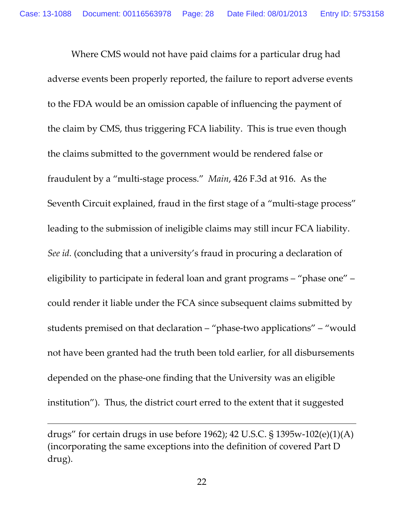Where CMS would not have paid claims for a particular drug had adverse events been properly reported, the failure to report adverse events to the FDA would be an omission capable of influencing the payment of the claim by CMS, thus triggering FCA liability. This is true even though the claims submitted to the government would be rendered false or fraudulent by a "multi-stage process." *Main*, 426 F.3d at 916. As the Seventh Circuit explained, fraud in the first stage of a "multi-stage process" leading to the submission of ineligible claims may still incur FCA liability. *See id.* (concluding that a university's fraud in procuring a declaration of eligibility to participate in federal loan and grant programs – "phase one" – could render it liable under the FCA since subsequent claims submitted by students premised on that declaration – "phase-two applications" – "would not have been granted had the truth been told earlier, for all disbursements depended on the phase-one finding that the University was an eligible institution"). Thus, the district court erred to the extent that it suggested

 $\overline{a}$ 

drugs" for certain drugs in use before 1962); 42 U.S.C. § 1395w-102(e)(1)(A) (incorporating the same exceptions into the definition of covered Part D drug).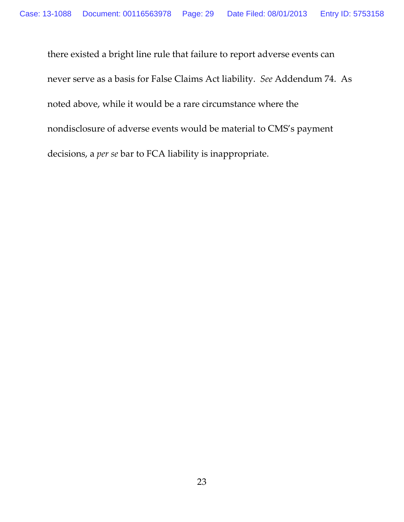there existed a bright line rule that failure to report adverse events can never serve as a basis for False Claims Act liability. *See* Addendum 74. As noted above, while it would be a rare circumstance where the nondisclosure of adverse events would be material to CMS's payment decisions, a *per se* bar to FCA liability is inappropriate.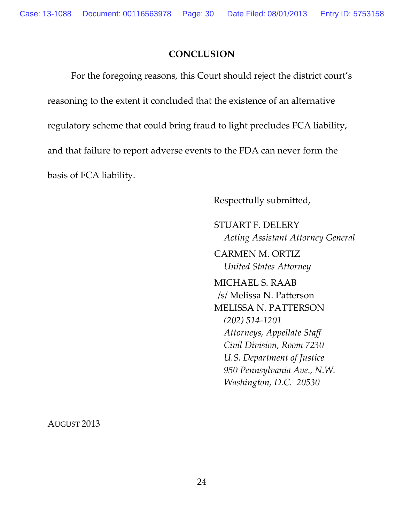### **CONCLUSION**

For the foregoing reasons, this Court should reject the district court's reasoning to the extent it concluded that the existence of an alternative regulatory scheme that could bring fraud to light precludes FCA liability, and that failure to report adverse events to the FDA can never form the basis of FCA liability.

Respectfully submitted,

STUART F. DELERY *Acting Assistant Attorney General*

CARMEN M. ORTIZ *United States Attorney*

MICHAEL S. RAAB /s/ Melissa N. Patterson MELISSA N. PATTERSON *(202) 514-1201 Attorneys, Appellate Staff Civil Division, Room 7230 U.S. Department of Justice 950 Pennsylvania Ave., N.W. Washington, D.C. 20530*

AUGUST 2013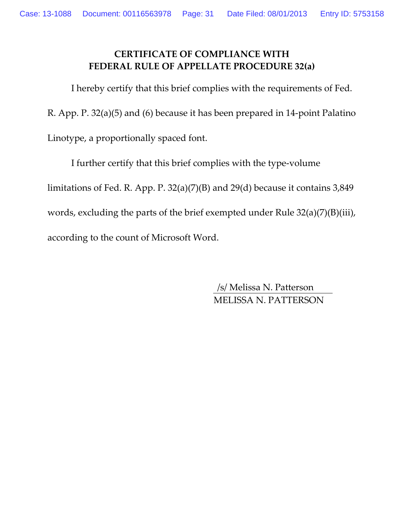### **CERTIFICATE OF COMPLIANCE WITH FEDERAL RULE OF APPELLATE PROCEDURE 32(a)**

I hereby certify that this brief complies with the requirements of Fed.

R. App. P. 32(a)(5) and (6) because it has been prepared in 14-point Palatino

Linotype, a proportionally spaced font.

I further certify that this brief complies with the type-volume limitations of Fed. R. App. P. 32(a)(7)(B) and 29(d) because it contains 3,849 words, excluding the parts of the brief exempted under Rule 32(a)(7)(B)(iii), according to the count of Microsoft Word.

> /s/ Melissa N. Patterson MELISSA N. PATTERSON